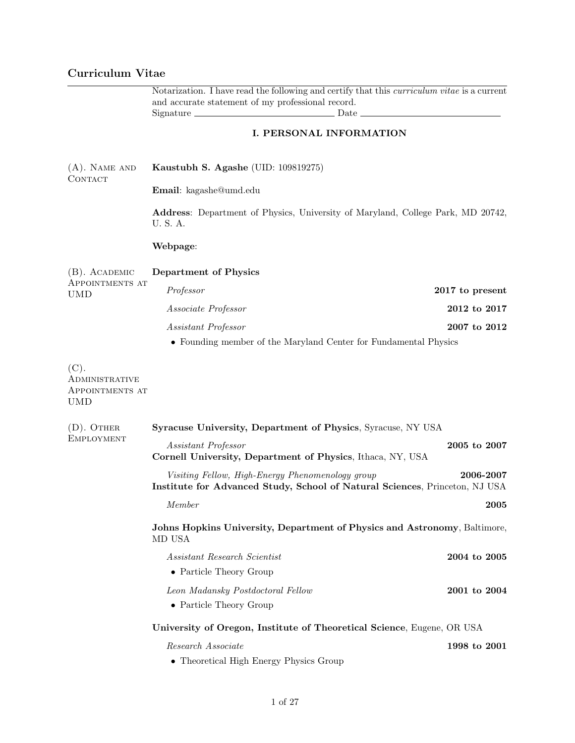# Curriculum Vitae

|                                                         | Notarization. I have read the following and certify that this <i>curriculum vitae</i> is a current                              |                 |  |
|---------------------------------------------------------|---------------------------------------------------------------------------------------------------------------------------------|-----------------|--|
|                                                         | and accurate statement of my professional record.<br>Date<br>$Signature =$                                                      |                 |  |
|                                                         | <b>I. PERSONAL INFORMATION</b>                                                                                                  |                 |  |
| $(A)$ . NAME AND<br>CONTACT                             | Kaustubh S. Agashe (UID: 109819275)                                                                                             |                 |  |
|                                                         | Email: kagashe@umd.edu                                                                                                          |                 |  |
|                                                         | Address: Department of Physics, University of Maryland, College Park, MD 20742,<br>U.S.A.                                       |                 |  |
|                                                         | Webpage:                                                                                                                        |                 |  |
| $(B)$ . ACADEMIC                                        | Department of Physics                                                                                                           |                 |  |
| APPOINTMENTS AT<br><b>UMD</b>                           | Professor                                                                                                                       | 2017 to present |  |
|                                                         | Associate Professor                                                                                                             | 2012 to 2017    |  |
|                                                         | Assistant Professor                                                                                                             | 2007 to 2012    |  |
|                                                         | • Founding member of the Maryland Center for Fundamental Physics                                                                |                 |  |
| (C).<br>ADMINISTRATIVE<br>APPOINTMENTS AT<br><b>UMD</b> |                                                                                                                                 |                 |  |
| $(D)$ . OTHER                                           | Syracuse University, Department of Physics, Syracuse, NY USA                                                                    |                 |  |
| <b>EMPLOYMENT</b>                                       | Assistant Professor<br>Cornell University, Department of Physics, Ithaca, NY, USA                                               | 2005 to 2007    |  |
|                                                         | Visiting Fellow, High-Energy Phenomenology group<br>Institute for Advanced Study, School of Natural Sciences, Princeton, NJ USA | 2006-2007       |  |
|                                                         | Member                                                                                                                          | 2005            |  |
|                                                         | Johns Hopkins University, Department of Physics and Astronomy, Baltimore,<br>MD USA                                             |                 |  |
|                                                         | <i>Assistant Research Scientist</i>                                                                                             | 2004 to 2005    |  |
|                                                         | • Particle Theory Group                                                                                                         |                 |  |
|                                                         | Leon Madansky Postdoctoral Fellow                                                                                               | 2001 to 2004    |  |
|                                                         | • Particle Theory Group                                                                                                         |                 |  |
|                                                         | University of Oregon, Institute of Theoretical Science, Eugene, OR USA                                                          |                 |  |
|                                                         | Research Associate                                                                                                              | 1998 to 2001    |  |
|                                                         | • Theoretical High Energy Physics Group                                                                                         |                 |  |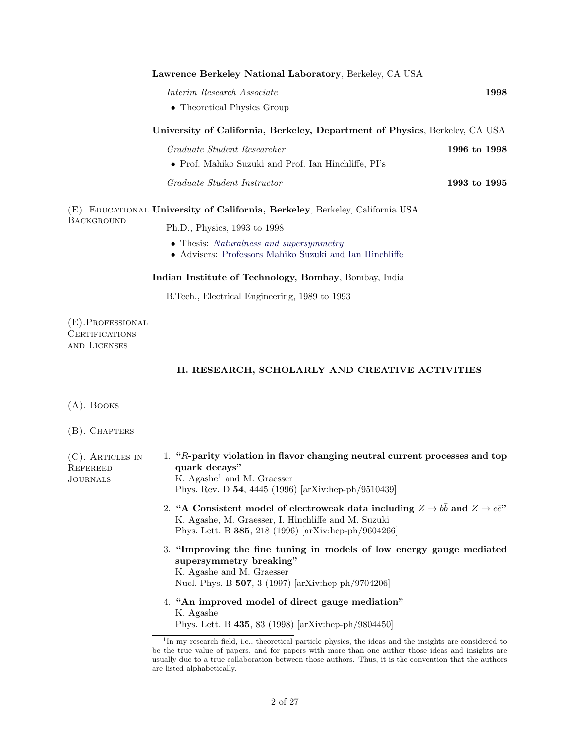| Lawrence Berkeley National Laboratory, Berkeley, CA USA                     |              |
|-----------------------------------------------------------------------------|--------------|
| Interim Research Associate                                                  | 1998         |
| • Theoretical Physics Group                                                 |              |
| University of California, Berkeley, Department of Physics, Berkeley, CA USA |              |
| Graduate Student Researcher                                                 | 1996 to 1998 |
| • Prof. Mahiko Suzuki and Prof. Ian Hinchliffe, PI's                        |              |
| Graduate Student Instructor                                                 | 1993 to 1995 |
|                                                                             |              |

#### (E). EDUCATIONAL University of California, Berkeley, Berkeley, California USA **BACKGROUND** Ph.D., Physics, 1993 to 1998

- Thesis: [Naturalness and supersymmetry](http://www.slac.stanford.edu/spires/find/hep/www?r=lbl-41874)
- Advisers: [Professors Mahiko Suzuki and Ian Hinchliffe](http://www.physics.berkeley.edu)

Indian Institute of Technology, Bombay, Bombay, India

B.Tech., Electrical Engineering, 1989 to 1993

(E).Professional **CERTIFICATIONS** and Licenses

# II. RESEARCH, SCHOLARLY AND CREATIVE ACTIVITIES

(A). Books

(B). Chapters

| $(C)$ . ARTICLES IN<br>REFEREED<br>JOURNALS | 1. "R-parity violation in flavor changing neutral current processes and top<br>quark decays"<br>K. Agashe <sup>1</sup> and M. Graesser<br>Phys. Rev. D 54, 4445 (1996) [arXiv:hep-ph/9510439]                         |
|---------------------------------------------|-----------------------------------------------------------------------------------------------------------------------------------------------------------------------------------------------------------------------|
|                                             | 2. "A Consistent model of electroweak data including $Z \rightarrow bb$ and $Z \rightarrow c\bar{c}$ "<br>K. Agashe, M. Graesser, I. Hinchliffe and M. Suzuki<br>Phys. Lett. B 385, 218 (1996) [arXiv:hep-ph/9604266] |
|                                             | 3. "Improving the fine tuning in models of low energy gauge mediated<br>supersymmetry breaking"<br>K. Agashe and M. Graesser<br>Nucl. Phys. B 507, 3 (1997) [arXiv:hep-ph/9704206]                                    |
|                                             | 4. "An improved model of direct gauge mediation"<br>K. Agashe<br>Phys. Lett. B 435, 83 (1998) [arXiv:hep-ph/9804450]                                                                                                  |
|                                             | <sup>1</sup> In my research field, i.e., theoretical particle physics, the ideas and the insights are considered to                                                                                                   |

<span id="page-1-0"></span>be the true value of papers, and for papers with more than one author those ideas and insights are usually due to a true collaboration between those authors. Thus, it is the convention that the authors are listed alphabetically.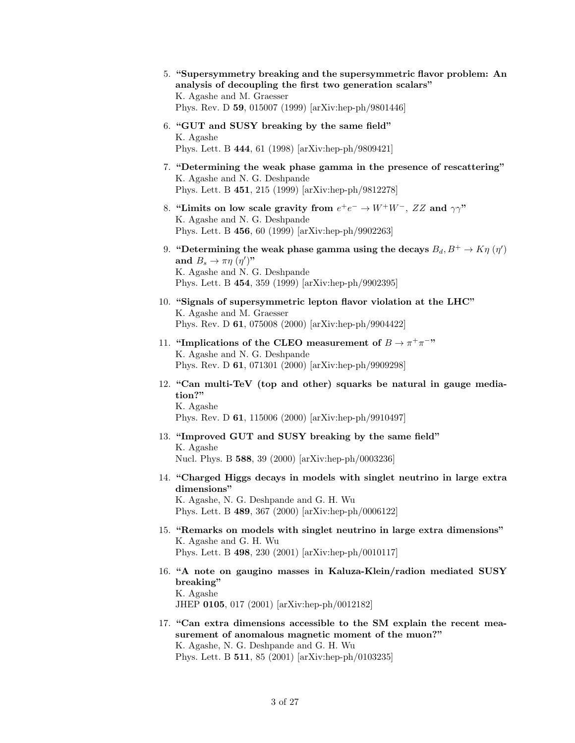- 5. "Supersymmetry breaking and the supersymmetric flavor problem: An analysis of decoupling the first two generation scalars" K. Agashe and M. Graesser Phys. Rev. D 59, 015007 (1999) [arXiv:hep-ph/9801446]
- 6. "GUT and SUSY breaking by the same field" K. Agashe Phys. Lett. B 444, 61 (1998) [arXiv:hep-ph/9809421]
- 7. "Determining the weak phase gamma in the presence of rescattering" K. Agashe and N. G. Deshpande Phys. Lett. B 451, 215 (1999) [arXiv:hep-ph/9812278]
- 8. "Limits on low scale gravity from  $e^+e^- \to W^+W^-$ , ZZ and  $\gamma\gamma$ " K. Agashe and N. G. Deshpande Phys. Lett. B 456, 60 (1999) [arXiv:hep-ph/9902263]
- 9. "Determining the weak phase gamma using the decays  $B_d, B^+ \to K \eta \; (\eta')$ and  $B_s \to \pi \eta \, (\eta')$ " K. Agashe and N. G. Deshpande Phys. Lett. B 454, 359 (1999) [arXiv:hep-ph/9902395]
- 10. "Signals of supersymmetric lepton flavor violation at the LHC" K. Agashe and M. Graesser Phys. Rev. D 61, 075008 (2000) [arXiv:hep-ph/9904422]
- 11. "Implications of the CLEO measurement of  $B \to \pi^+\pi^-$ " K. Agashe and N. G. Deshpande Phys. Rev. D 61, 071301 (2000) [arXiv:hep-ph/9909298]
- 12. "Can multi-TeV (top and other) squarks be natural in gauge mediation?" K. Agashe

Phys. Rev. D 61, 115006 (2000) [arXiv:hep-ph/9910497]

- 13. "Improved GUT and SUSY breaking by the same field" K. Agashe Nucl. Phys. B 588, 39 (2000) [arXiv:hep-ph/0003236]
- 14. "Charged Higgs decays in models with singlet neutrino in large extra dimensions" K. Agashe, N. G. Deshpande and G. H. Wu Phys. Lett. B 489, 367 (2000) [arXiv:hep-ph/0006122]
- 15. "Remarks on models with singlet neutrino in large extra dimensions" K. Agashe and G. H. Wu Phys. Lett. B 498, 230 (2001) [arXiv:hep-ph/0010117]
- 16. "A note on gaugino masses in Kaluza-Klein/radion mediated SUSY breaking" K. Agashe JHEP 0105, 017 (2001) [arXiv:hep-ph/0012182]
- 17. "Can extra dimensions accessible to the SM explain the recent measurement of anomalous magnetic moment of the muon?" K. Agashe, N. G. Deshpande and G. H. Wu Phys. Lett. B 511, 85 (2001) [arXiv:hep-ph/0103235]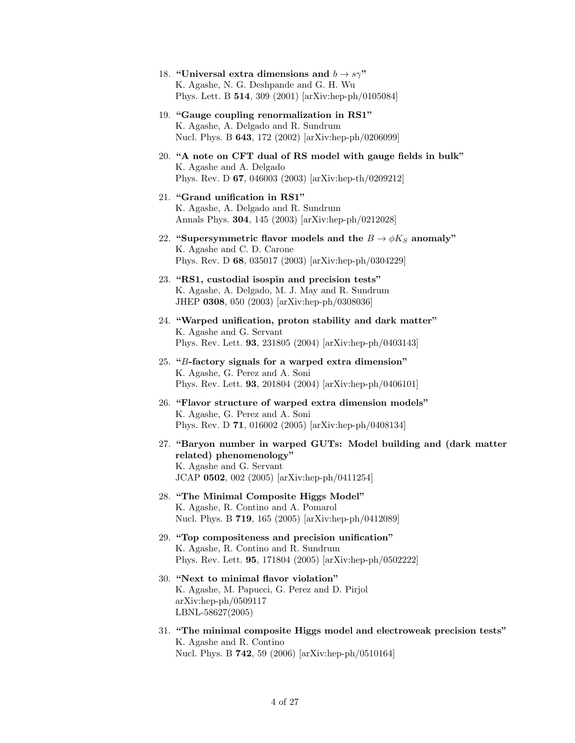- 18. "Universal extra dimensions and  $b \rightarrow s\gamma$ " K. Agashe, N. G. Deshpande and G. H. Wu Phys. Lett. B 514, 309 (2001) [arXiv:hep-ph/0105084]
- 19. "Gauge coupling renormalization in RS1" K. Agashe, A. Delgado and R. Sundrum Nucl. Phys. B 643, 172 (2002) [arXiv:hep-ph/0206099]
- 20. "A note on CFT dual of RS model with gauge fields in bulk" K. Agashe and A. Delgado Phys. Rev. D 67, 046003 (2003) [arXiv:hep-th/0209212]
- 21. "Grand unification in RS1" K. Agashe, A. Delgado and R. Sundrum Annals Phys. 304, 145 (2003) [arXiv:hep-ph/0212028]
- 22. "Supersymmetric flavor models and the  $B \to \phi K_S$  anomaly" K. Agashe and C. D. Carone Phys. Rev. D 68, 035017 (2003) [arXiv:hep-ph/0304229]
- 23. "RS1, custodial isospin and precision tests" K. Agashe, A. Delgado, M. J. May and R. Sundrum JHEP 0308, 050 (2003) [arXiv:hep-ph/0308036]
- 24. "Warped unification, proton stability and dark matter" K. Agashe and G. Servant Phys. Rev. Lett. 93, 231805 (2004) [arXiv:hep-ph/0403143]
- 25. "B-factory signals for a warped extra dimension" K. Agashe, G. Perez and A. Soni Phys. Rev. Lett. 93, 201804 (2004) [arXiv:hep-ph/0406101]
- 26. "Flavor structure of warped extra dimension models" K. Agashe, G. Perez and A. Soni Phys. Rev. D 71, 016002 (2005) [arXiv:hep-ph/0408134]
- 27. "Baryon number in warped GUTs: Model building and (dark matter related) phenomenology" K. Agashe and G. Servant JCAP 0502, 002 (2005) [arXiv:hep-ph/0411254]
- 28. "The Minimal Composite Higgs Model" K. Agashe, R. Contino and A. Pomarol Nucl. Phys. B 719, 165 (2005) [arXiv:hep-ph/0412089]
- 29. "Top compositeness and precision unification" K. Agashe, R. Contino and R. Sundrum Phys. Rev. Lett. 95, 171804 (2005) [arXiv:hep-ph/0502222]
- 30. "Next to minimal flavor violation" K. Agashe, M. Papucci, G. Perez and D. Pirjol arXiv:hep-ph/0509117 LBNL-58627(2005)
- 31. "The minimal composite Higgs model and electroweak precision tests" K. Agashe and R. Contino Nucl. Phys. B 742, 59 (2006) [arXiv:hep-ph/0510164]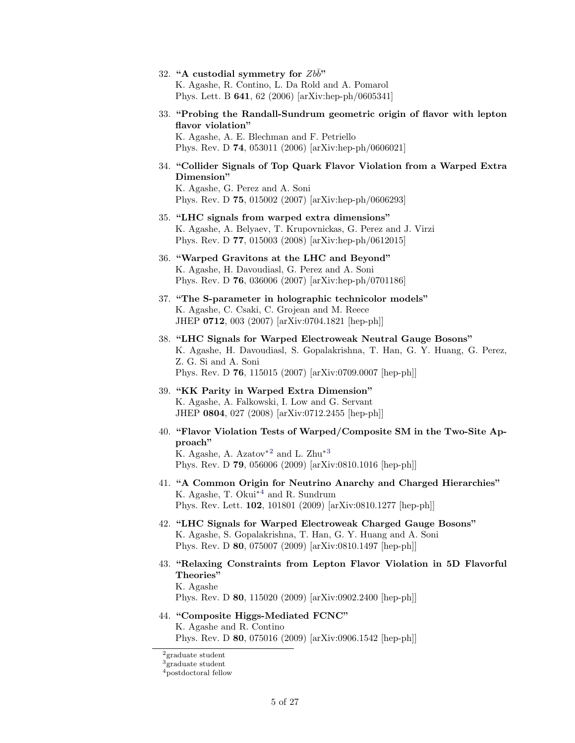- 32. "A custodial symmetry for  $Zb\bar{b}$ " K. Agashe, R. Contino, L. Da Rold and A. Pomarol Phys. Lett. B 641, 62 (2006) [arXiv:hep-ph/0605341]
- 33. "Probing the Randall-Sundrum geometric origin of flavor with lepton flavor violation" K. Agashe, A. E. Blechman and F. Petriello Phys. Rev. D 74, 053011 (2006) [arXiv:hep-ph/0606021]
- 34. "Collider Signals of Top Quark Flavor Violation from a Warped Extra Dimension" K. Agashe, G. Perez and A. Soni Phys. Rev. D 75, 015002 (2007) [arXiv:hep-ph/0606293]
- 35. "LHC signals from warped extra dimensions" K. Agashe, A. Belyaev, T. Krupovnickas, G. Perez and J. Virzi Phys. Rev. D 77, 015003 (2008) [arXiv:hep-ph/0612015]
- 36. "Warped Gravitons at the LHC and Beyond" K. Agashe, H. Davoudiasl, G. Perez and A. Soni Phys. Rev. D 76, 036006 (2007) [arXiv:hep-ph/0701186]
- 37. "The S-parameter in holographic technicolor models" K. Agashe, C. Csaki, C. Grojean and M. Reece JHEP 0712, 003 (2007) [arXiv:0704.1821 [hep-ph]]
- 38. "LHC Signals for Warped Electroweak Neutral Gauge Bosons" K. Agashe, H. Davoudiasl, S. Gopalakrishna, T. Han, G. Y. Huang, G. Perez, Z. G. Si and A. Soni Phys. Rev. D 76, 115015 (2007) [arXiv:0709.0007 [hep-ph]]
- 39. "KK Parity in Warped Extra Dimension" K. Agashe, A. Falkowski, I. Low and G. Servant JHEP 0804, 027 (2008) [arXiv:0712.2455 [hep-ph]]
- 40. "Flavor Violation Tests of Warped/Composite SM in the Two-Site Approach" K. Agashe, A. Azatov<sup>\*[2](#page-4-0)</sup> and L. Zhu<sup>\*[3](#page-4-1)</sup> Phys. Rev. D 79, 056006 (2009) [arXiv:0810.1016 [hep-ph]]
- 41. "A Common Origin for Neutrino Anarchy and Charged Hierarchies" K. Agashe, T. Okui<sup>\*[4](#page-4-2)</sup> and R. Sundrum Phys. Rev. Lett. 102, 101801 (2009) [arXiv:0810.1277 [hep-ph]]
- 42. "LHC Signals for Warped Electroweak Charged Gauge Bosons" K. Agashe, S. Gopalakrishna, T. Han, G. Y. Huang and A. Soni Phys. Rev. D 80, 075007 (2009) [arXiv:0810.1497 [hep-ph]]
- 43. "Relaxing Constraints from Lepton Flavor Violation in 5D Flavorful Theories" K. Agashe

Phys. Rev. D 80, 115020 (2009) [arXiv:0902.2400 [hep-ph]]

44. "Composite Higgs-Mediated FCNC" K. Agashe and R. Contino Phys. Rev. D 80, 075016 (2009) [arXiv:0906.1542 [hep-ph]]

<span id="page-4-0"></span> $^2 \mathrm{graduate}$  student

<span id="page-4-1"></span><sup>3</sup>graduate student

<span id="page-4-2"></span><sup>4</sup>postdoctoral fellow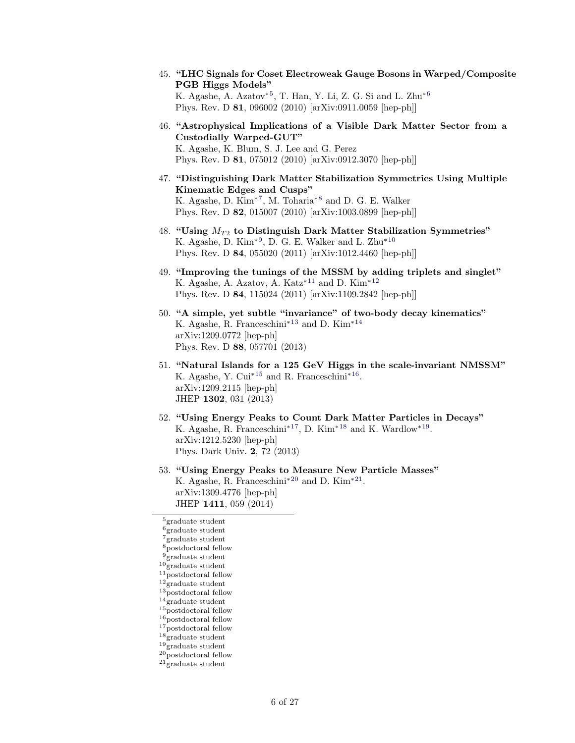- 45. "LHC Signals for Coset Electroweak Gauge Bosons in Warped/Composite PGB Higgs Models" K. Agashe, A. Azatov<sup>\*[5](#page-5-0)</sup>, T. Han, Y. Li, Z. G. Si and L. Zhu<sup>\*[6](#page-5-1)</sup> Phys. Rev. D 81, 096002 (2010) [arXiv:0911.0059 [hep-ph]]
- 46. "Astrophysical Implications of a Visible Dark Matter Sector from a Custodially Warped-GUT" K. Agashe, K. Blum, S. J. Lee and G. Perez Phys. Rev. D 81, 075012 (2010) [arXiv:0912.3070 [hep-ph]]
- 47. "Distinguishing Dark Matter Stabilization Symmetries Using Multiple Kinematic Edges and Cusps" K. Agashe, D. Kim<sup>\*[7](#page-5-2)</sup>, M. Toharia<sup>\*[8](#page-5-3)</sup> and D. G. E. Walker Phys. Rev. D 82, 015007 (2010) [arXiv:1003.0899 [hep-ph]]
- 48. "Using  $M_{T2}$  to Distinguish Dark Matter Stabilization Symmetries" K. Agashe, D. Kim<sup>\*[9](#page-5-4)</sup>, D. G. E. Walker and L. Zhu<sup>\*[10](#page-5-5)</sup> Phys. Rev. D 84, 055020 (2011) [arXiv:1012.4460 [hep-ph]]
- 49. "Improving the tunings of the MSSM by adding triplets and singlet" K. Agashe, A. Azatov, A. Katz<sup>\*[11](#page-5-6)</sup> and D. Kim<sup>\*[12](#page-5-7)</sup> Phys. Rev. D 84, 115024 (2011) [arXiv:1109.2842 [hep-ph]]
- 50. "A simple, yet subtle "invariance" of two-body decay kinematics" K. Agashe, R. Franceschini<sup>∗</sup>[13](#page-5-8) and D. Kim<sup>∗</sup>[14](#page-5-9) arXiv:1209.0772 [hep-ph] Phys. Rev. D 88, 057701 (2013)
- 51. "Natural Islands for a 125 GeV Higgs in the scale-invariant NMSSM" K. Agashe, Y. Cui<sup>∗[15](#page-5-10)</sup> and R. Franceschini<sup>∗[16](#page-5-11)</sup>. arXiv:1209.2115 [hep-ph] JHEP 1302, 031 (2013)
- 52. "Using Energy Peaks to Count Dark Matter Particles in Decays" K. Agashe, R. Franceschini<sup>\*[17](#page-5-12)</sup>, D. Kim<sup>\*[18](#page-5-13)</sup> and K. Wardlow<sup>\*[19](#page-5-14)</sup>. arXiv:1212.5230 [hep-ph] Phys. Dark Univ. 2, 72 (2013)
- 53. "Using Energy Peaks to Measure New Particle Masses" K. Agashe, R. Franceschini<sup>\*[20](#page-5-15)</sup> and D. Kim<sup>\*[21](#page-5-16)</sup>. arXiv:1309.4776 [hep-ph] JHEP 1411, 059 (2014)

<span id="page-5-0"></span><sup>5</sup>graduate student

<span id="page-5-2"></span><span id="page-5-1"></span> $6$ graduate student  $7\degree$ graduate student

<span id="page-5-3"></span> $^8\rm postdoctoral$  fellow

<span id="page-5-4"></span> $9^{\circ}$ graduate student

<span id="page-5-5"></span> $10\text{ }$ graduate student

<span id="page-5-6"></span><sup>11</sup>postdoctoral fellow

<span id="page-5-7"></span> $12\ensuremath{\overset{\circ}{\text{grad}}}$  at<br>a student

<span id="page-5-8"></span> $13\text{ postdoctoral fellow}$ 

<span id="page-5-9"></span><sup>14</sup>graduate student

<span id="page-5-10"></span> $15$ postdoctoral fellow

<span id="page-5-11"></span> $16$ <sub>postdoctoral fellow</sub>

<span id="page-5-12"></span> $17$ postdoctoral fellow

<span id="page-5-13"></span><sup>18</sup>graduate student

<span id="page-5-14"></span> $^{19}\rm \check{graduate}$  student

<span id="page-5-15"></span> $20\text{postdoctoral fellow}$ 

<span id="page-5-16"></span> $21$ <sub>graduate student</sub>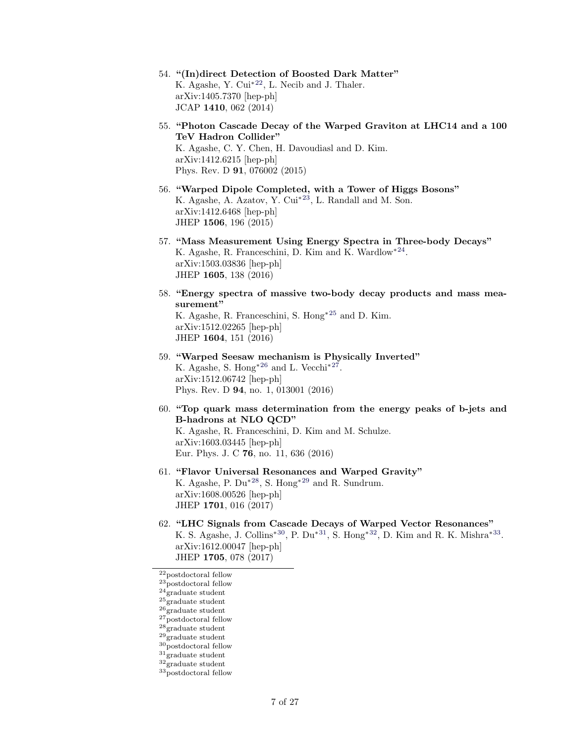- 54. "(In)direct Detection of Boosted Dark Matter" K. Agashe, Y. Cui<sup>∗[22](#page-6-0)</sup>, L. Necib and J. Thaler. arXiv:1405.7370 [hep-ph] JCAP 1410, 062 (2014)
- 55. "Photon Cascade Decay of the Warped Graviton at LHC14 and a 100 TeV Hadron Collider" K. Agashe, C. Y. Chen, H. Davoudiasl and D. Kim. arXiv:1412.6215 [hep-ph] Phys. Rev. D 91, 076002 (2015)
- 56. "Warped Dipole Completed, with a Tower of Higgs Bosons" K. Agashe, A. Azatov, Y. Cui∗[23](#page-6-1), L. Randall and M. Son. arXiv:1412.6468 [hep-ph] JHEP 1506, 196 (2015)
- 57. "Mass Measurement Using Energy Spectra in Three-body Decays" K. Agashe, R. Franceschini, D. Kim and K. Wardlow<sup>\*[24](#page-6-2)</sup>. arXiv:1503.03836 [hep-ph] JHEP 1605, 138 (2016)
- 58. "Energy spectra of massive two-body decay products and mass measurement" K. Agashe, R. Franceschini, S. Hong<sup>∗</sup>[25](#page-6-3) and D. Kim. arXiv:1512.02265 [hep-ph] JHEP 1604, 151 (2016)
- 59. "Warped Seesaw mechanism is Physically Inverted" K. Agashe, S. Hong<sup>\*[26](#page-6-4)</sup> and L. Vecchi<sup>\*[27](#page-6-5)</sup>. arXiv:1512.06742 [hep-ph] Phys. Rev. D 94, no. 1, 013001 (2016)
- 60. "Top quark mass determination from the energy peaks of b-jets and B-hadrons at NLO QCD" K. Agashe, R. Franceschini, D. Kim and M. Schulze.

arXiv:1603.03445 [hep-ph] Eur. Phys. J. C 76, no. 11, 636 (2016)

- 61. "Flavor Universal Resonances and Warped Gravity" K. Agashe, P. Du<sup>∗</sup>[28](#page-6-6), S. Hong<sup>∗</sup>[29](#page-6-7) and R. Sundrum. arXiv:1608.00526 [hep-ph] JHEP 1701, 016 (2017)
- 62. "LHC Signals from Cascade Decays of Warped Vector Resonances" K. S. Agashe, J. Collins<sup>\*[30](#page-6-8)</sup>, P. Du<sup>\*[31](#page-6-9)</sup>, S. Hong<sup>\*[32](#page-6-10)</sup>, D. Kim and R. K. Mishra<sup>\*[33](#page-6-11)</sup>. arXiv:1612.00047 [hep-ph] JHEP 1705, 078 (2017)

<span id="page-6-0"></span> $\rm ^{22}postdoctoral$  fellow

<span id="page-6-1"></span> $23^{1}_{\text{postdoctoral fellow}}$ 

<span id="page-6-2"></span> $^{24}$  graduate student

<span id="page-6-3"></span> $^{25}\rm \check{g}$ raduate student

<span id="page-6-4"></span> $26\text{graduate student}$  $27$ postdoctoral fellow

<span id="page-6-6"></span><span id="page-6-5"></span> $28$ <sub>graduate student</sub>

<span id="page-6-7"></span> $29$ graduate student

<span id="page-6-8"></span> $\rm{^{30}postdoctoral}$  fellow

<span id="page-6-9"></span> $\mathbf{^{31}graduate}$  student

<span id="page-6-10"></span><sup>32</sup>graduate student

<span id="page-6-11"></span> $^{33}\rm{\overline{p}}$ ostdoctoral fellow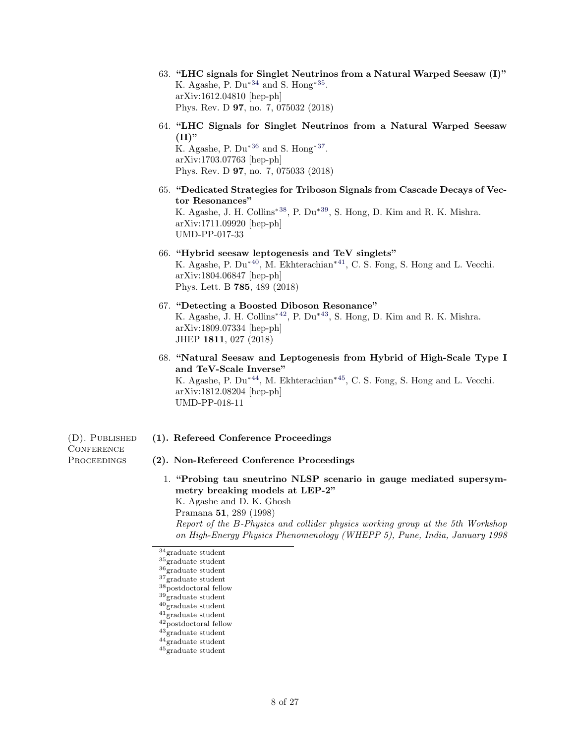- 63. "LHC signals for Singlet Neutrinos from a Natural Warped Seesaw (I)" K. Agashe, P.  $Du^{*34}$  $Du^{*34}$  $Du^{*34}$  and S. Hong<sup>\*[35](#page-7-1)</sup>. arXiv:1612.04810 [hep-ph] Phys. Rev. D 97, no. 7, 075032 (2018)
- 64. "LHC Signals for Singlet Neutrinos from a Natural Warped Seesaw  $(II)$ "

K. Agashe, P.  $Du^{*36}$  $Du^{*36}$  $Du^{*36}$  and S. Hong<sup>\*[37](#page-7-3)</sup>. arXiv:1703.07763 [hep-ph] Phys. Rev. D 97, no. 7, 075033 (2018)

- 65. "Dedicated Strategies for Triboson Signals from Cascade Decays of Vector Resonances" K. Agashe, J. H. Collins∗[38](#page-7-4), P. Du∗[39](#page-7-5), S. Hong, D. Kim and R. K. Mishra. arXiv:1711.09920 [hep-ph] UMD-PP-017-33
- 66. "Hybrid seesaw leptogenesis and TeV singlets" K. Agashe, P. Du<sup>∗</sup>[40](#page-7-6), M. Ekhterachian<sup>∗</sup>[41](#page-7-7), C. S. Fong, S. Hong and L. Vecchi. arXiv:1804.06847 [hep-ph] Phys. Lett. B 785, 489 (2018)
- 67. "Detecting a Boosted Diboson Resonance" K. Agashe, J. H. Collins<sup>∗</sup>[42](#page-7-8), P. Du<sup>∗</sup>[43](#page-7-9), S. Hong, D. Kim and R. K. Mishra. arXiv:1809.07334 [hep-ph] JHEP 1811, 027 (2018)
- 68. "Natural Seesaw and Leptogenesis from Hybrid of High-Scale Type I and TeV-Scale Inverse" K. Agashe, P. Du<sup>∗</sup>[44](#page-7-10), M. Ekhterachian<sup>∗</sup>[45](#page-7-11), C. S. Fong, S. Hong and L. Vecchi. arXiv:1812.08204 [hep-ph] UMD-PP-018-11

**CONFERENCE** 

- (D). PUBLISHED (1). Refereed Conference Proceedings
- PROCEEDINGS (2). Non-Refereed Conference Proceedings
	- 1. "Probing tau sneutrino NLSP scenario in gauge mediated supersymmetry breaking models at LEP-2" K. Agashe and D. K. Ghosh Pramana 51, 289 (1998) Report of the B-Physics and collider physics working group at the 5th Workshop on High-Energy Physics Phenomenology (WHEPP 5), Pune, India, January 1998

- <span id="page-7-6"></span><span id="page-7-5"></span> $^{40}\rm \check{graduate}$  student
- <span id="page-7-7"></span><sup>41</sup>graduate student
- <span id="page-7-8"></span> $^{42}\rm{\substack{\small{\sim}} postdoctoral}$  fellow
- <span id="page-7-9"></span><sup>43</sup>graduate student
- <span id="page-7-10"></span> $^{44}$  graduate student

<span id="page-7-0"></span><sup>34</sup>graduate student

<span id="page-7-1"></span> $^{35}\rm \check{g}$ raduate student

<span id="page-7-2"></span> $36\degree$ graduate student

<span id="page-7-3"></span><sup>37</sup>graduate student

<span id="page-7-4"></span> $^{38}\rm$ ostdoctoral fellow  $39<sub>graduate</sub> student$ 

<span id="page-7-11"></span> $^{45}\rm \check{graduate}$  student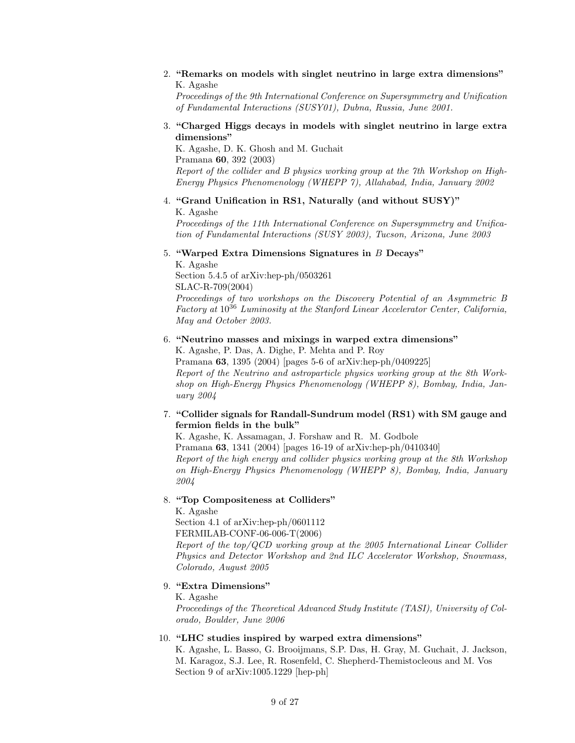2. "Remarks on models with singlet neutrino in large extra dimensions" K. Agashe

Proceedings of the 9th International Conference on Supersymmetry and Unification of Fundamental Interactions (SUSY01), Dubna, Russia, June 2001.

3. "Charged Higgs decays in models with singlet neutrino in large extra dimensions"

K. Agashe, D. K. Ghosh and M. Guchait Pramana 60, 392 (2003) Report of the collider and B physics working group at the 7th Workshop on High-Energy Physics Phenomenology (WHEPP 7), Allahabad, India, January 2002

# 4. "Grand Unification in RS1, Naturally (and without SUSY)"

K. Agashe

Proceedings of the 11th International Conference on Supersymmetry and Unification of Fundamental Interactions (SUSY 2003), Tucson, Arizona, June 2003

5. "Warped Extra Dimensions Signatures in B Decays"

K. Agashe Section 5.4.5 of arXiv:hep-ph/0503261 SLAC-R-709(2004)

Proceedings of two workshops on the Discovery Potential of an Asymmetric B Factory at  $10^{36}$  Luminosity at the Stanford Linear Accelerator Center, California, May and October 2003.

# 6. "Neutrino masses and mixings in warped extra dimensions"

K. Agashe, P. Das, A. Dighe, P. Mehta and P. Roy Pramana 63, 1395 (2004) [pages 5-6 of arXiv:hep-ph/0409225] Report of the Neutrino and astroparticle physics working group at the 8th Workshop on High-Energy Physics Phenomenology (WHEPP 8), Bombay, India, January 2004

# 7. "Collider signals for Randall-Sundrum model (RS1) with SM gauge and fermion fields in the bulk"

K. Agashe, K. Assamagan, J. Forshaw and R. M. Godbole Pramana 63, 1341 (2004) [pages 16-19 of arXiv:hep-ph/0410340] Report of the high energy and collider physics working group at the 8th Workshop on High-Energy Physics Phenomenology (WHEPP 8), Bombay, India, January 2004

# 8. "Top Compositeness at Colliders"

K. Agashe

Section 4.1 of arXiv:hep-ph/0601112

FERMILAB-CONF-06-006-T(2006)

Report of the top/QCD working group at the 2005 International Linear Collider Physics and Detector Workshop and 2nd ILC Accelerator Workshop, Snowmass, Colorado, August 2005

# 9. "Extra Dimensions"

K. Agashe

Proceedings of the Theoretical Advanced Study Institute (TASI), University of Colorado, Boulder, June 2006

# 10. "LHC studies inspired by warped extra dimensions"

K. Agashe, L. Basso, G. Brooijmans, S.P. Das, H. Gray, M. Guchait, J. Jackson, M. Karagoz, S.J. Lee, R. Rosenfeld, C. Shepherd-Themistocleous and M. Vos Section 9 of arXiv:1005.1229 [hep-ph]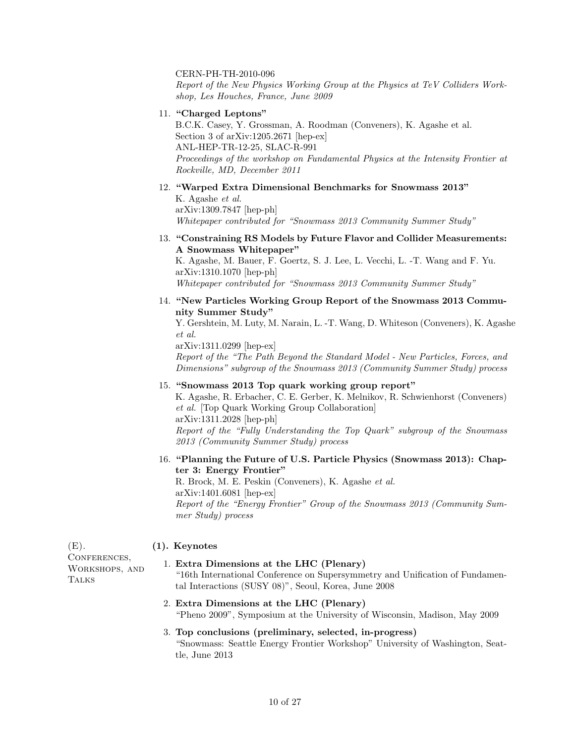### CERN-PH-TH-2010-096

Report of the New Physics Working Group at the Physics at TeV Colliders Workshop, Les Houches, France, June 2009

11. "Charged Leptons"

B.C.K. Casey, Y. Grossman, A. Roodman (Conveners), K. Agashe et al. Section 3 of arXiv:1205.2671 [hep-ex] ANL-HEP-TR-12-25, SLAC-R-991 Proceedings of the workshop on Fundamental Physics at the Intensity Frontier at Rockville, MD, December 2011

12. "Warped Extra Dimensional Benchmarks for Snowmass 2013" K. Agashe et al.

arXiv:1309.7847 [hep-ph] Whitepaper contributed for "Snowmass 2013 Community Summer Study"

13. "Constraining RS Models by Future Flavor and Collider Measurements: A Snowmass Whitepaper"

K. Agashe, M. Bauer, F. Goertz, S. J. Lee, L. Vecchi, L. -T. Wang and F. Yu. arXiv:1310.1070 [hep-ph] Whitepaper contributed for "Snowmass 2013 Community Summer Study"

14. "New Particles Working Group Report of the Snowmass 2013 Community Summer Study"

Y. Gershtein, M. Luty, M. Narain, L. -T. Wang, D. Whiteson (Conveners), K. Agashe et al.

arXiv:1311.0299 [hep-ex] Report of the "The Path Beyond the Standard Model - New Particles, Forces, and Dimensions" subgroup of the Snowmass 2013 (Community Summer Study) process

15. "Snowmass 2013 Top quark working group report"

K. Agashe, R. Erbacher, C. E. Gerber, K. Melnikov, R. Schwienhorst (Conveners) et al. [Top Quark Working Group Collaboration] arXiv:1311.2028 [hep-ph] Report of the "Fully Understanding the Top Quark" subgroup of the Snowmass 2013 (Community Summer Study) process

16. "Planning the Future of U.S. Particle Physics (Snowmass 2013): Chapter 3: Energy Frontier"

R. Brock, M. E. Peskin (Conveners), K. Agashe et al. arXiv:1401.6081 [hep-ex] Report of the "Energy Frontier" Group of the Snowmass 2013 (Community Summer Study) process

# $(E)$ . (1). Keynotes

CONFERENCES, Workshops, and **TALKS** 

#### 1. Extra Dimensions at the LHC (Plenary)

"16th International Conference on Supersymmetry and Unification of Fundamental Interactions (SUSY 08)", Seoul, Korea, June 2008

2. Extra Dimensions at the LHC (Plenary) "Pheno 2009", Symposium at the University of Wisconsin, Madison, May 2009

# 3. Top conclusions (preliminary, selected, in-progress) "Snowmass: Seattle Energy Frontier Workshop" University of Washington, Seattle, June 2013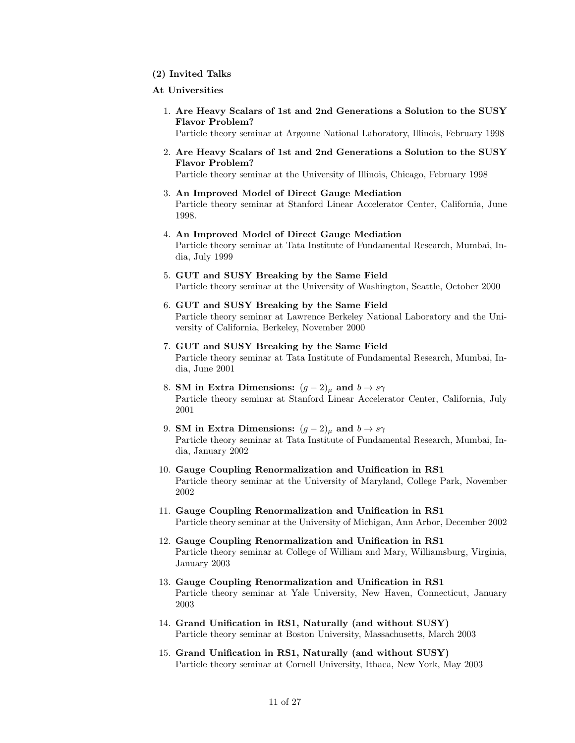(2) Invited Talks

#### At Universities

1. Are Heavy Scalars of 1st and 2nd Generations a Solution to the SUSY Flavor Problem?

Particle theory seminar at Argonne National Laboratory, Illinois, February 1998

2. Are Heavy Scalars of 1st and 2nd Generations a Solution to the SUSY Flavor Problem?

Particle theory seminar at the University of Illinois, Chicago, February 1998

- 3. An Improved Model of Direct Gauge Mediation Particle theory seminar at Stanford Linear Accelerator Center, California, June 1998.
- 4. An Improved Model of Direct Gauge Mediation Particle theory seminar at Tata Institute of Fundamental Research, Mumbai, India, July 1999
- 5. GUT and SUSY Breaking by the Same Field Particle theory seminar at the University of Washington, Seattle, October 2000
- 6. GUT and SUSY Breaking by the Same Field Particle theory seminar at Lawrence Berkeley National Laboratory and the University of California, Berkeley, November 2000
- 7. GUT and SUSY Breaking by the Same Field Particle theory seminar at Tata Institute of Fundamental Research, Mumbai, India, June 2001
- 8. SM in Extra Dimensions:  $(g-2)_{\mu}$  and  $b \rightarrow s\gamma$ Particle theory seminar at Stanford Linear Accelerator Center, California, July 2001
- 9. SM in Extra Dimensions:  $(g-2)_{\mu}$  and  $b \rightarrow s\gamma$ Particle theory seminar at Tata Institute of Fundamental Research, Mumbai, India, January 2002
- 10. Gauge Coupling Renormalization and Unification in RS1 Particle theory seminar at the University of Maryland, College Park, November 2002
- 11. Gauge Coupling Renormalization and Unification in RS1 Particle theory seminar at the University of Michigan, Ann Arbor, December 2002
- 12. Gauge Coupling Renormalization and Unification in RS1 Particle theory seminar at College of William and Mary, Williamsburg, Virginia, January 2003
- 13. Gauge Coupling Renormalization and Unification in RS1 Particle theory seminar at Yale University, New Haven, Connecticut, January 2003
- 14. Grand Unification in RS1, Naturally (and without SUSY) Particle theory seminar at Boston University, Massachusetts, March 2003
- 15. Grand Unification in RS1, Naturally (and without SUSY) Particle theory seminar at Cornell University, Ithaca, New York, May 2003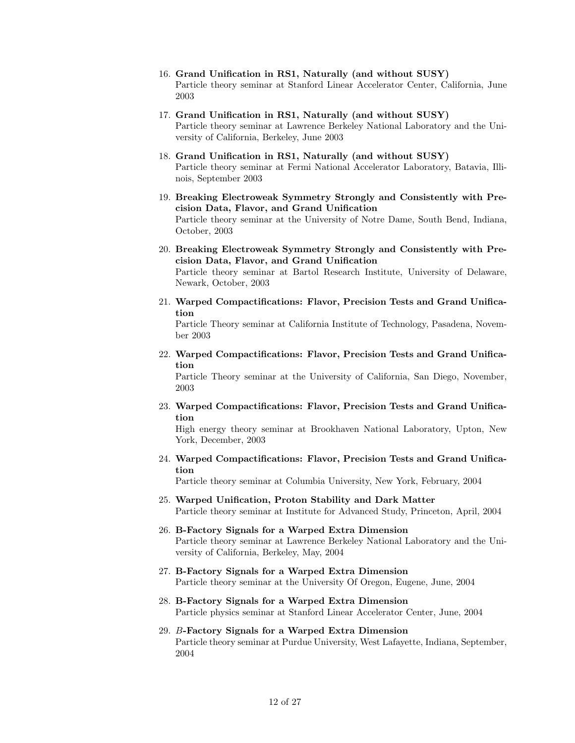- 16. Grand Unification in RS1, Naturally (and without SUSY) Particle theory seminar at Stanford Linear Accelerator Center, California, June 2003
- 17. Grand Unification in RS1, Naturally (and without SUSY) Particle theory seminar at Lawrence Berkeley National Laboratory and the University of California, Berkeley, June 2003
- 18. Grand Unification in RS1, Naturally (and without SUSY) Particle theory seminar at Fermi National Accelerator Laboratory, Batavia, Illinois, September 2003
- 19. Breaking Electroweak Symmetry Strongly and Consistently with Precision Data, Flavor, and Grand Unification Particle theory seminar at the University of Notre Dame, South Bend, Indiana, October, 2003
- 20. Breaking Electroweak Symmetry Strongly and Consistently with Precision Data, Flavor, and Grand Unification Particle theory seminar at Bartol Research Institute, University of Delaware,

Newark, October, 2003

21. Warped Compactifications: Flavor, Precision Tests and Grand Unification

Particle Theory seminar at California Institute of Technology, Pasadena, November 2003

22. Warped Compactifications: Flavor, Precision Tests and Grand Unification

Particle Theory seminar at the University of California, San Diego, November, 2003

23. Warped Compactifications: Flavor, Precision Tests and Grand Unification

High energy theory seminar at Brookhaven National Laboratory, Upton, New York, December, 2003

24. Warped Compactifications: Flavor, Precision Tests and Grand Unification

Particle theory seminar at Columbia University, New York, February, 2004

- 25. Warped Unification, Proton Stability and Dark Matter Particle theory seminar at Institute for Advanced Study, Princeton, April, 2004
- 26. B-Factory Signals for a Warped Extra Dimension Particle theory seminar at Lawrence Berkeley National Laboratory and the University of California, Berkeley, May, 2004
- 27. B-Factory Signals for a Warped Extra Dimension Particle theory seminar at the University Of Oregon, Eugene, June, 2004
- 28. B-Factory Signals for a Warped Extra Dimension Particle physics seminar at Stanford Linear Accelerator Center, June, 2004
- 29. B-Factory Signals for a Warped Extra Dimension Particle theory seminar at Purdue University, West Lafayette, Indiana, September, 2004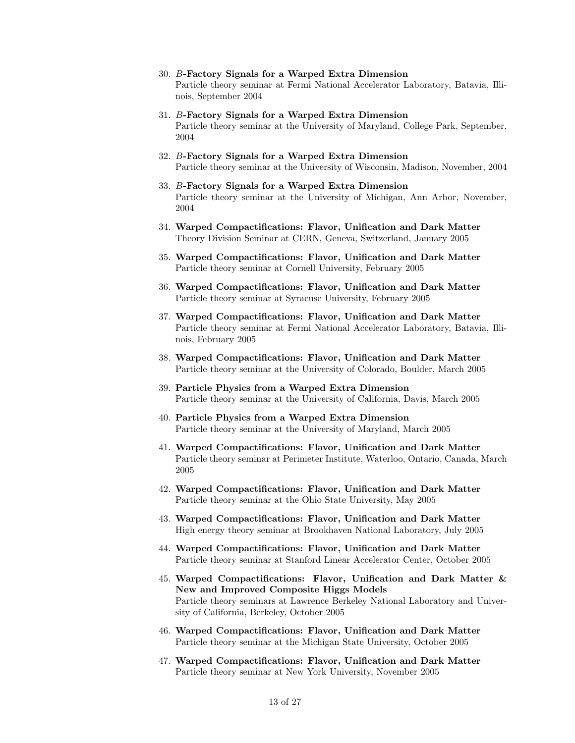- 30. B-Factory Signals for a Warped Extra Dimension Particle theory seminar at Fermi National Accelerator Laboratory, Batavia, Illinois, September 2004
- 31. B-Factory Signals for a Warped Extra Dimension Particle theory seminar at the University of Maryland, College Park, September, 2004
- 32. B-Factory Signals for a Warped Extra Dimension Particle theory seminar at the University of Wisconsin, Madison, November, 2004
- 33. B-Factory Signals for a Warped Extra Dimension Particle theory seminar at the University of Michigan, Ann Arbor, November, 2004
- 34. Warped Compactifications: Flavor, Unification and Dark Matter Theory Division Seminar at CERN, Geneva, Switzerland, January 2005
- 35. Warped Compactifications: Flavor, Unification and Dark Matter Particle theory seminar at Cornell University, February 2005
- 36. Warped Compactifications: Flavor, Unification and Dark Matter Particle theory seminar at Syracuse University, February 2005
- 37. Warped Compactifications: Flavor, Unification and Dark Matter Particle theory seminar at Fermi National Accelerator Laboratory, Batavia, Illinois, February 2005
- 38. Warped Compactifications: Flavor, Unification and Dark Matter Particle theory seminar at the University of Colorado, Boulder, March 2005
- 39. Particle Physics from a Warped Extra Dimension Particle theory seminar at the University of California, Davis, March 2005
- 40. Particle Physics from a Warped Extra Dimension Particle theory seminar at the University of Maryland, March 2005
- 41. Warped Compactifications: Flavor, Unification and Dark Matter Particle theory seminar at Perimeter Institute, Waterloo, Ontario, Canada, March 2005
- 42. Warped Compactifications: Flavor, Unification and Dark Matter Particle theory seminar at the Ohio State University, May 2005
- 43. Warped Compactifications: Flavor, Unification and Dark Matter High energy theory seminar at Brookhaven National Laboratory, July 2005
- 44. Warped Compactifications: Flavor, Unification and Dark Matter Particle theory seminar at Stanford Linear Accelerator Center, October 2005
- 45. Warped Compactifications: Flavor, Unification and Dark Matter & New and Improved Composite Higgs Models Particle theory seminars at Lawrence Berkeley National Laboratory and University of California, Berkeley, October 2005
- 46. Warped Compactifications: Flavor, Unification and Dark Matter Particle theory seminar at the Michigan State University, October 2005
- 47. Warped Compactifications: Flavor, Unification and Dark Matter Particle theory seminar at New York University, November 2005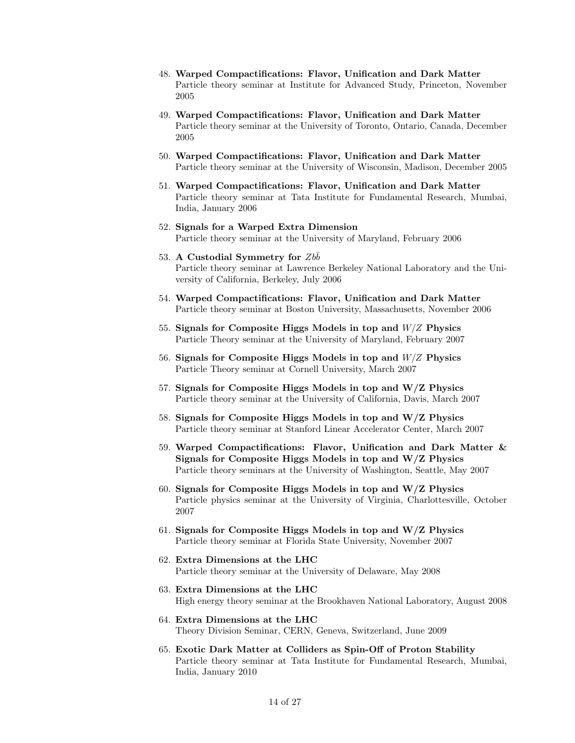- 48. Warped Compactifications: Flavor, Unification and Dark Matter Particle theory seminar at Institute for Advanced Study, Princeton, November 2005
- 49. Warped Compactifications: Flavor, Unification and Dark Matter Particle theory seminar at the University of Toronto, Ontario, Canada, December 2005
- 50. Warped Compactifications: Flavor, Unification and Dark Matter Particle theory seminar at the University of Wisconsin, Madison, December 2005
- 51. Warped Compactifications: Flavor, Unification and Dark Matter Particle theory seminar at Tata Institute for Fundamental Research, Mumbai, India, January 2006
- 52. Signals for a Warped Extra Dimension Particle theory seminar at the University of Maryland, February 2006
- 53. A Custodial Symmetry for  $Zbb$ Particle theory seminar at Lawrence Berkeley National Laboratory and the University of California, Berkeley, July 2006
- 54. Warped Compactifications: Flavor, Unification and Dark Matter Particle theory seminar at Boston University, Massachusetts, November 2006
- 55. Signals for Composite Higgs Models in top and  $W/Z$  Physics Particle Theory seminar at the University of Maryland, February 2007
- 56. Signals for Composite Higgs Models in top and W/Z Physics Particle Theory seminar at Cornell University, March 2007
- 57. Signals for Composite Higgs Models in top and W/Z Physics Particle theory seminar at the University of California, Davis, March 2007
- 58. Signals for Composite Higgs Models in top and W/Z Physics Particle theory seminar at Stanford Linear Accelerator Center, March 2007
- 59. Warped Compactifications: Flavor, Unification and Dark Matter & Signals for Composite Higgs Models in top and W/Z Physics Particle theory seminars at the University of Washington, Seattle, May 2007
- 60. Signals for Composite Higgs Models in top and  $W/Z$  Physics Particle physics seminar at the University of Virginia, Charlottesville, October 2007
- 61. Signals for Composite Higgs Models in top and W/Z Physics Particle theory seminar at Florida State University, November 2007
- 62. Extra Dimensions at the LHC Particle theory seminar at the University of Delaware, May 2008
- 63. Extra Dimensions at the LHC High energy theory seminar at the Brookhaven National Laboratory, August 2008
- 64. Extra Dimensions at the LHC Theory Division Seminar, CERN, Geneva, Switzerland, June 2009
- 65. Exotic Dark Matter at Colliders as Spin-Off of Proton Stability Particle theory seminar at Tata Institute for Fundamental Research, Mumbai, India, January 2010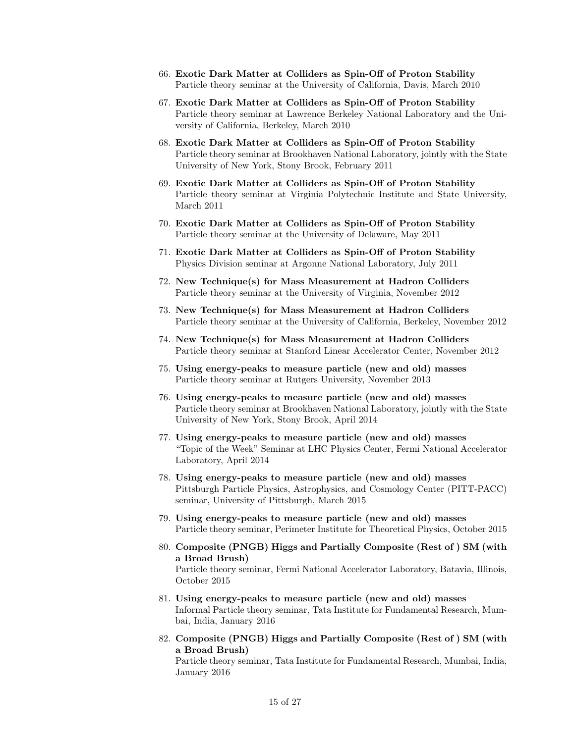- 66. Exotic Dark Matter at Colliders as Spin-Off of Proton Stability Particle theory seminar at the University of California, Davis, March 2010
- 67. Exotic Dark Matter at Colliders as Spin-Off of Proton Stability Particle theory seminar at Lawrence Berkeley National Laboratory and the University of California, Berkeley, March 2010
- 68. Exotic Dark Matter at Colliders as Spin-Off of Proton Stability Particle theory seminar at Brookhaven National Laboratory, jointly with the State University of New York, Stony Brook, February 2011
- 69. Exotic Dark Matter at Colliders as Spin-Off of Proton Stability Particle theory seminar at Virginia Polytechnic Institute and State University, March 2011
- 70. Exotic Dark Matter at Colliders as Spin-Off of Proton Stability Particle theory seminar at the University of Delaware, May 2011
- 71. Exotic Dark Matter at Colliders as Spin-Off of Proton Stability Physics Division seminar at Argonne National Laboratory, July 2011
- 72. New Technique(s) for Mass Measurement at Hadron Colliders Particle theory seminar at the University of Virginia, November 2012
- 73. New Technique(s) for Mass Measurement at Hadron Colliders Particle theory seminar at the University of California, Berkeley, November 2012
- 74. New Technique(s) for Mass Measurement at Hadron Colliders Particle theory seminar at Stanford Linear Accelerator Center, November 2012
- 75. Using energy-peaks to measure particle (new and old) masses Particle theory seminar at Rutgers University, November 2013
- 76. Using energy-peaks to measure particle (new and old) masses Particle theory seminar at Brookhaven National Laboratory, jointly with the State University of New York, Stony Brook, April 2014
- 77. Using energy-peaks to measure particle (new and old) masses "Topic of the Week" Seminar at LHC Physics Center, Fermi National Accelerator Laboratory, April 2014
- 78. Using energy-peaks to measure particle (new and old) masses Pittsburgh Particle Physics, Astrophysics, and Cosmology Center (PITT-PACC) seminar, University of Pittsburgh, March 2015
- 79. Using energy-peaks to measure particle (new and old) masses Particle theory seminar, Perimeter Institute for Theoretical Physics, October 2015
- 80. Composite (PNGB) Higgs and Partially Composite (Rest of ) SM (with a Broad Brush) Particle theory seminar, Fermi National Accelerator Laboratory, Batavia, Illinois, October 2015
- 81. Using energy-peaks to measure particle (new and old) masses Informal Particle theory seminar, Tata Institute for Fundamental Research, Mumbai, India, January 2016
- 82. Composite (PNGB) Higgs and Partially Composite (Rest of ) SM (with a Broad Brush)

Particle theory seminar, Tata Institute for Fundamental Research, Mumbai, India, January 2016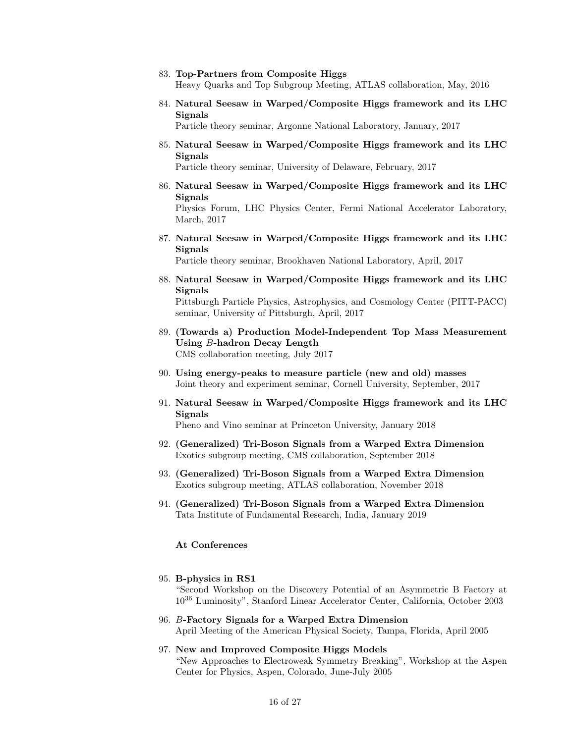#### 83. Top-Partners from Composite Higgs

Heavy Quarks and Top Subgroup Meeting, ATLAS collaboration, May, 2016

84. Natural Seesaw in Warped/Composite Higgs framework and its LHC Signals

Particle theory seminar, Argonne National Laboratory, January, 2017

85. Natural Seesaw in Warped/Composite Higgs framework and its LHC Signals

Particle theory seminar, University of Delaware, February, 2017

86. Natural Seesaw in Warped/Composite Higgs framework and its LHC Signals

Physics Forum, LHC Physics Center, Fermi National Accelerator Laboratory, March, 2017

87. Natural Seesaw in Warped/Composite Higgs framework and its LHC Signals

Particle theory seminar, Brookhaven National Laboratory, April, 2017

88. Natural Seesaw in Warped/Composite Higgs framework and its LHC Signals

Pittsburgh Particle Physics, Astrophysics, and Cosmology Center (PITT-PACC) seminar, University of Pittsburgh, April, 2017

- 89. (Towards a) Production Model-Independent Top Mass Measurement Using B-hadron Decay Length CMS collaboration meeting, July 2017
- 90. Using energy-peaks to measure particle (new and old) masses Joint theory and experiment seminar, Cornell University, September, 2017
- 91. Natural Seesaw in Warped/Composite Higgs framework and its LHC Signals

Pheno and Vino seminar at Princeton University, January 2018

- 92. (Generalized) Tri-Boson Signals from a Warped Extra Dimension Exotics subgroup meeting, CMS collaboration, September 2018
- 93. (Generalized) Tri-Boson Signals from a Warped Extra Dimension Exotics subgroup meeting, ATLAS collaboration, November 2018
- 94. (Generalized) Tri-Boson Signals from a Warped Extra Dimension Tata Institute of Fundamental Research, India, January 2019

### At Conferences

### 95. B-physics in RS1

"Second Workshop on the Discovery Potential of an Asymmetric B Factory at 10<sup>36</sup> Luminosity", Stanford Linear Accelerator Center, California, October 2003

- 96. B-Factory Signals for a Warped Extra Dimension April Meeting of the American Physical Society, Tampa, Florida, April 2005
- 97. New and Improved Composite Higgs Models "New Approaches to Electroweak Symmetry Breaking", Workshop at the Aspen Center for Physics, Aspen, Colorado, June-July 2005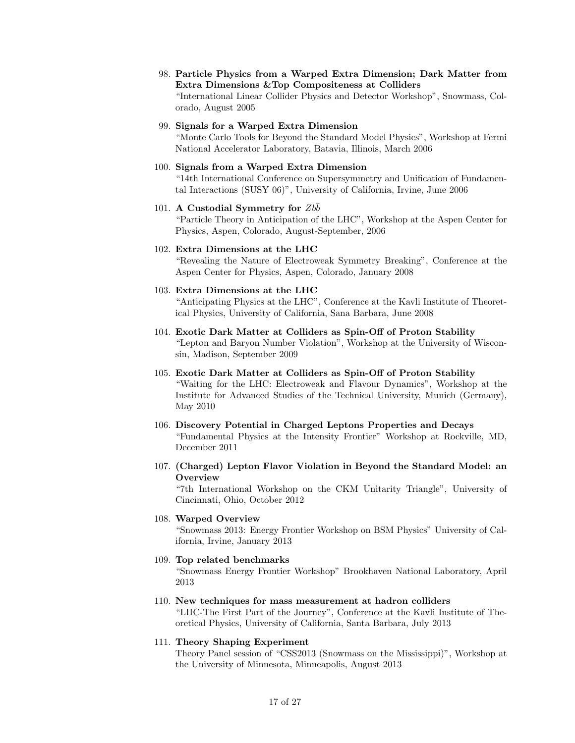98. Particle Physics from a Warped Extra Dimension; Dark Matter from Extra Dimensions &Top Compositeness at Colliders "International Linear Collider Physics and Detector Workshop", Snowmass, Colorado, August 2005

# 99. Signals for a Warped Extra Dimension

"Monte Carlo Tools for Beyond the Standard Model Physics", Workshop at Fermi National Accelerator Laboratory, Batavia, Illinois, March 2006

# 100. Signals from a Warped Extra Dimension

"14th International Conference on Supersymmetry and Unification of Fundamental Interactions (SUSY 06)", University of California, Irvine, June 2006

# 101. A Custodial Symmetry for  $Zbb$

"Particle Theory in Anticipation of the LHC", Workshop at the Aspen Center for Physics, Aspen, Colorado, August-September, 2006

# 102. Extra Dimensions at the LHC

"Revealing the Nature of Electroweak Symmetry Breaking", Conference at the Aspen Center for Physics, Aspen, Colorado, January 2008

# 103. Extra Dimensions at the LHC

"Anticipating Physics at the LHC", Conference at the Kavli Institute of Theoretical Physics, University of California, Sana Barbara, June 2008

104. Exotic Dark Matter at Colliders as Spin-Off of Proton Stability "Lepton and Baryon Number Violation", Workshop at the University of Wisconsin, Madison, September 2009

# 105. Exotic Dark Matter at Colliders as Spin-Off of Proton Stability "Waiting for the LHC: Electroweak and Flavour Dynamics", Workshop at the Institute for Advanced Studies of the Technical University, Munich (Germany), May 2010

- 106. Discovery Potential in Charged Leptons Properties and Decays "Fundamental Physics at the Intensity Frontier" Workshop at Rockville, MD, December 2011
- 107. (Charged) Lepton Flavor Violation in Beyond the Standard Model: an **Overview**

"7th International Workshop on the CKM Unitarity Triangle", University of Cincinnati, Ohio, October 2012

# 108. Warped Overview

"Snowmass 2013: Energy Frontier Workshop on BSM Physics" University of California, Irvine, January 2013

# 109. Top related benchmarks

"Snowmass Energy Frontier Workshop" Brookhaven National Laboratory, April 2013

#### 110. New techniques for mass measurement at hadron colliders

"LHC-The First Part of the Journey", Conference at the Kavli Institute of Theoretical Physics, University of California, Santa Barbara, July 2013

# 111. Theory Shaping Experiment

Theory Panel session of "CSS2013 (Snowmass on the Mississippi)", Workshop at the University of Minnesota, Minneapolis, August 2013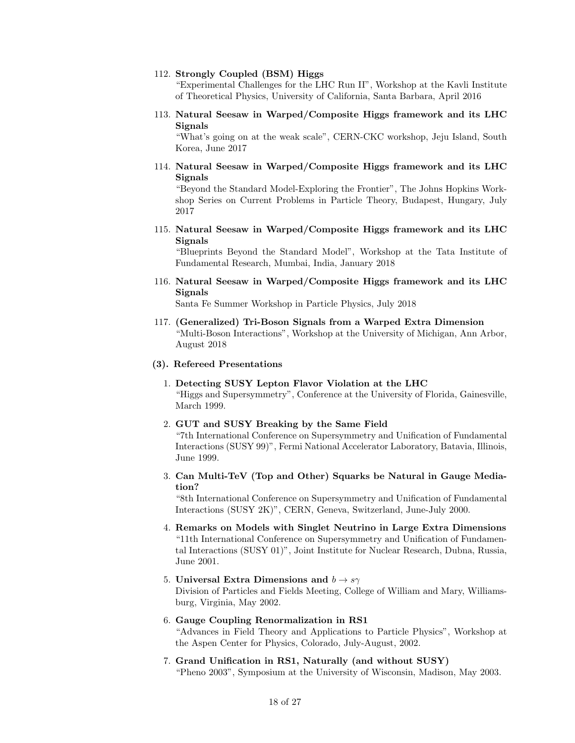#### 112. Strongly Coupled (BSM) Higgs

"Experimental Challenges for the LHC Run II", Workshop at the Kavli Institute of Theoretical Physics, University of California, Santa Barbara, April 2016

113. Natural Seesaw in Warped/Composite Higgs framework and its LHC Signals

"What's going on at the weak scale", CERN-CKC workshop, Jeju Island, South Korea, June 2017

114. Natural Seesaw in Warped/Composite Higgs framework and its LHC Signals

"Beyond the Standard Model-Exploring the Frontier", The Johns Hopkins Workshop Series on Current Problems in Particle Theory, Budapest, Hungary, July 2017

115. Natural Seesaw in Warped/Composite Higgs framework and its LHC Signals

"Blueprints Beyond the Standard Model", Workshop at the Tata Institute of Fundamental Research, Mumbai, India, January 2018

116. Natural Seesaw in Warped/Composite Higgs framework and its LHC **Signals** 

Santa Fe Summer Workshop in Particle Physics, July 2018

117. (Generalized) Tri-Boson Signals from a Warped Extra Dimension "Multi-Boson Interactions", Workshop at the University of Michigan, Ann Arbor, August 2018

# (3). Refereed Presentations

- 1. Detecting SUSY Lepton Flavor Violation at the LHC "Higgs and Supersymmetry", Conference at the University of Florida, Gainesville, March 1999.
- 2. GUT and SUSY Breaking by the Same Field

"7th International Conference on Supersymmetry and Unification of Fundamental Interactions (SUSY 99)", Fermi National Accelerator Laboratory, Batavia, Illinois, June 1999.

3. Can Multi-TeV (Top and Other) Squarks be Natural in Gauge Mediation?

"8th International Conference on Supersymmetry and Unification of Fundamental Interactions (SUSY 2K)", CERN, Geneva, Switzerland, June-July 2000.

- 4. Remarks on Models with Singlet Neutrino in Large Extra Dimensions "11th International Conference on Supersymmetry and Unification of Fundamental Interactions (SUSY 01)", Joint Institute for Nuclear Research, Dubna, Russia, June 2001.
- 5. Universal Extra Dimensions and  $b \rightarrow s\gamma$ Division of Particles and Fields Meeting, College of William and Mary, Williamsburg, Virginia, May 2002.
- 6. Gauge Coupling Renormalization in RS1 "Advances in Field Theory and Applications to Particle Physics", Workshop at the Aspen Center for Physics, Colorado, July-August, 2002.
- 7. Grand Unification in RS1, Naturally (and without SUSY) "Pheno 2003", Symposium at the University of Wisconsin, Madison, May 2003.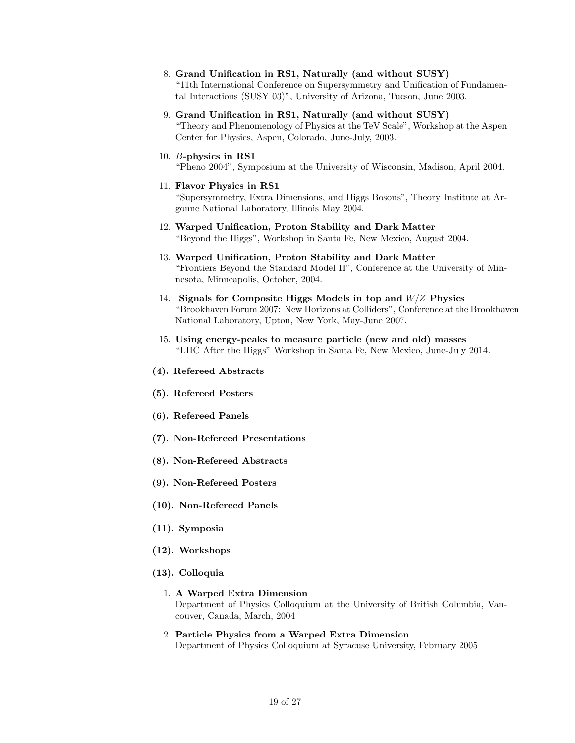- 8. Grand Unification in RS1, Naturally (and without SUSY) "11th International Conference on Supersymmetry and Unification of Fundamental Interactions (SUSY 03)", University of Arizona, Tucson, June 2003.
- 9. Grand Unification in RS1, Naturally (and without SUSY) "Theory and Phenomenology of Physics at the TeV Scale", Workshop at the Aspen Center for Physics, Aspen, Colorado, June-July, 2003.
- 10. B-physics in RS1 "Pheno 2004", Symposium at the University of Wisconsin, Madison, April 2004.

# 11. Flavor Physics in RS1

"Supersymmetry, Extra Dimensions, and Higgs Bosons", Theory Institute at Argonne National Laboratory, Illinois May 2004.

- 12. Warped Unification, Proton Stability and Dark Matter "Beyond the Higgs", Workshop in Santa Fe, New Mexico, August 2004.
- 13. Warped Unification, Proton Stability and Dark Matter "Frontiers Beyond the Standard Model II", Conference at the University of Minnesota, Minneapolis, October, 2004.
- 14. Signals for Composite Higgs Models in top and  $W/Z$  Physics "Brookhaven Forum 2007: New Horizons at Colliders", Conference at the Brookhaven National Laboratory, Upton, New York, May-June 2007.
- 15. Using energy-peaks to measure particle (new and old) masses "LHC After the Higgs" Workshop in Santa Fe, New Mexico, June-July 2014.
- (4). Refereed Abstracts
- (5). Refereed Posters
- (6). Refereed Panels
- (7). Non-Refereed Presentations
- (8). Non-Refereed Abstracts
- (9). Non-Refereed Posters
- (10). Non-Refereed Panels
- (11). Symposia
- (12). Workshops
- (13). Colloquia

# 1. A Warped Extra Dimension Department of Physics Colloquium at the University of British Columbia, Vancouver, Canada, March, 2004

2. Particle Physics from a Warped Extra Dimension Department of Physics Colloquium at Syracuse University, February 2005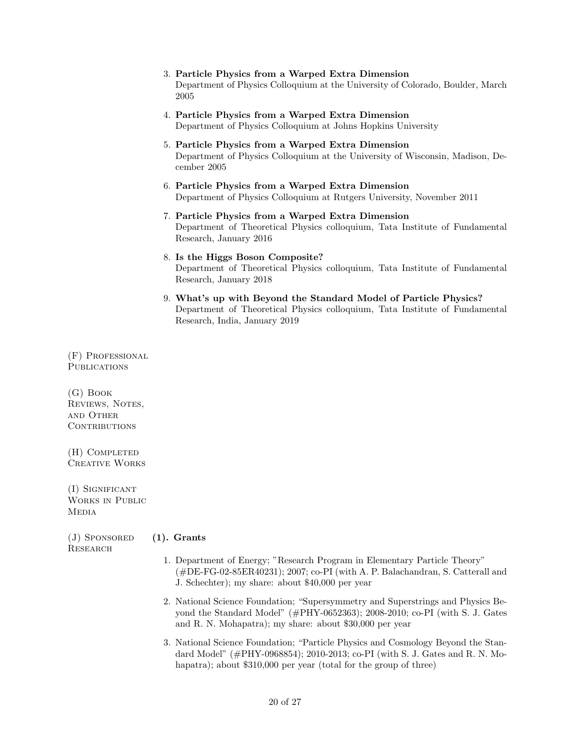- 3. Particle Physics from a Warped Extra Dimension Department of Physics Colloquium at the University of Colorado, Boulder, March 2005
- 4. Particle Physics from a Warped Extra Dimension Department of Physics Colloquium at Johns Hopkins University
- 5. Particle Physics from a Warped Extra Dimension Department of Physics Colloquium at the University of Wisconsin, Madison, December 2005
- 6. Particle Physics from a Warped Extra Dimension Department of Physics Colloquium at Rutgers University, November 2011
- 7. Particle Physics from a Warped Extra Dimension Department of Theoretical Physics colloquium, Tata Institute of Fundamental Research, January 2016
- 8. Is the Higgs Boson Composite? Department of Theoretical Physics colloquium, Tata Institute of Fundamental Research, January 2018
- 9. What's up with Beyond the Standard Model of Particle Physics? Department of Theoretical Physics colloquium, Tata Institute of Fundamental Research, India, January 2019

(F) Professional **PUBLICATIONS** 

(G) Book REVIEWS, NOTES, and Other CONTRIBUTIONS

(H) Completed Creative Works

(I) Significant Works in Public **MEDIA** 

 $(J)$  Sponsored (1). Grants Research

- 1. Department of Energy; "Research Program in Elementary Particle Theory" (#DE-FG-02-85ER40231); 2007; co-PI (with A. P. Balachandran, S. Catterall and J. Schechter); my share: about \$40,000 per year
- 2. National Science Foundation; "Supersymmetry and Superstrings and Physics Beyond the Standard Model" (#PHY-0652363); 2008-2010; co-PI (with S. J. Gates and R. N. Mohapatra); my share: about \$30,000 per year
- 3. National Science Foundation; "Particle Physics and Cosmology Beyond the Standard Model" (#PHY-0968854); 2010-2013; co-PI (with S. J. Gates and R. N. Mohapatra); about \$310,000 per year (total for the group of three)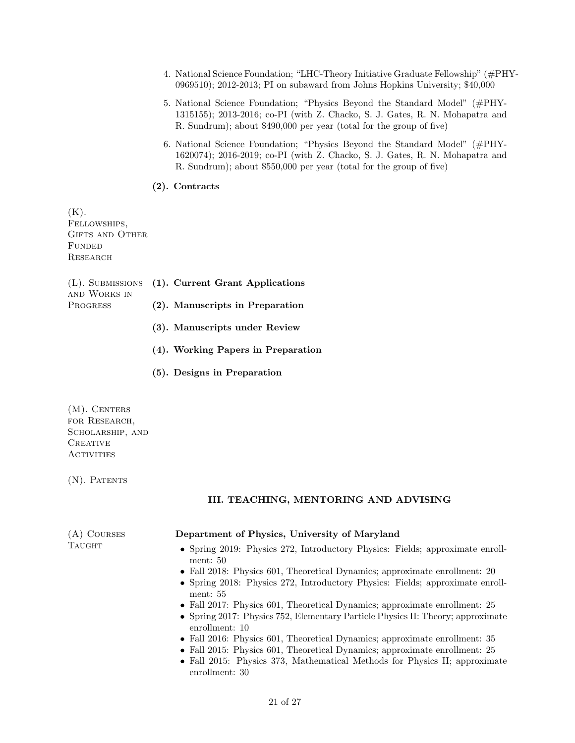- 4. National Science Foundation; "LHC-Theory Initiative Graduate Fellowship" (#PHY-0969510); 2012-2013; PI on subaward from Johns Hopkins University; \$40,000
- 5. National Science Foundation; "Physics Beyond the Standard Model" (#PHY-1315155); 2013-2016; co-PI (with Z. Chacko, S. J. Gates, R. N. Mohapatra and R. Sundrum); about \$490,000 per year (total for the group of five)
- 6. National Science Foundation; "Physics Beyond the Standard Model" (#PHY-1620074); 2016-2019; co-PI (with Z. Chacko, S. J. Gates, R. N. Mohapatra and R. Sundrum); about \$550,000 per year (total for the group of five)

# (2). Contracts

 $(K).$ Fellowships, GIFTS AND OTHER **FUNDED RESEARCH** 

| AND WORKS IN    | (L). SUBMISSIONS (1). Current Grant Applications |
|-----------------|--------------------------------------------------|
| <b>PROGRESS</b> | (2). Manuscripts in Preparation                  |
|                 | (3). Manuscripts under Review                    |

- (4). Working Papers in Preparation
- (5). Designs in Preparation

(M). CENTERS for Research, SCHOLARSHIP, AND **CREATIVE ACTIVITIES** 

(N). PATENTS

# III. TEACHING, MENTORING AND ADVISING

| $(A)$ COURSES<br><b>TAUGHT</b> | Department of Physics, University of Maryland                                                        |
|--------------------------------|------------------------------------------------------------------------------------------------------|
|                                | • Spring 2019: Physics 272, Introductory Physics: Fields; approximate enroll-<br>ment: $50$          |
|                                | • Fall 2018: Physics 601, Theoretical Dynamics; approximate enrollment: 20                           |
|                                | • Spring 2018: Physics 272, Introductory Physics: Fields; approximate enroll-<br>ment: $55$          |
|                                | • Fall 2017: Physics 601, Theoretical Dynamics; approximate enrollment: 25                           |
|                                | • Spring 2017: Physics $752$ , Elementary Particle Physics II: Theory; approximate<br>enrollment: 10 |
|                                | • Fall 2016: Physics 601, Theoretical Dynamics; approximate enrollment: $35$                         |
|                                | • Fall 2015: Physics 601, Theoretical Dynamics; approximate enrollment: 25                           |
|                                | • Fall 2015: Physics 373, Mathematical Methods for Physics II; approximate<br>enrollment: 30         |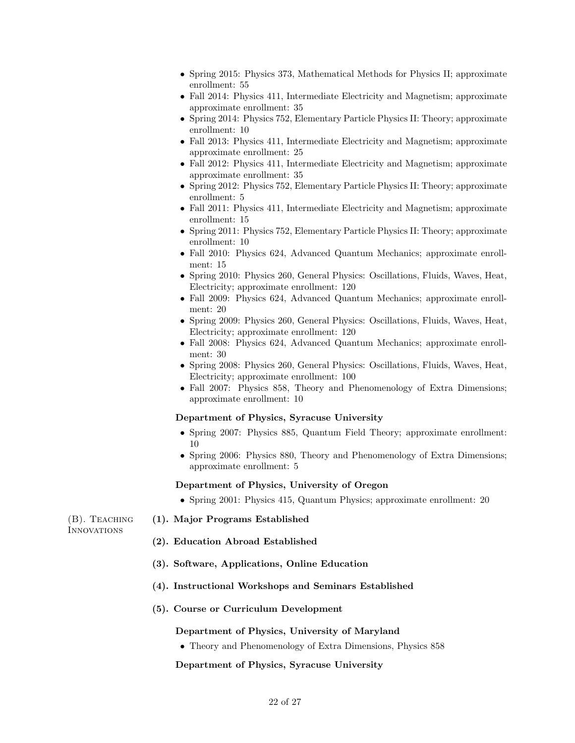- Spring 2015: Physics 373, Mathematical Methods for Physics II; approximate enrollment: 55
- Fall 2014: Physics 411, Intermediate Electricity and Magnetism; approximate approximate enrollment: 35
- Spring 2014: Physics 752, Elementary Particle Physics II: Theory; approximate enrollment: 10
- Fall 2013: Physics 411, Intermediate Electricity and Magnetism; approximate approximate enrollment: 25
- Fall 2012: Physics 411, Intermediate Electricity and Magnetism; approximate approximate enrollment: 35
- Spring 2012: Physics 752, Elementary Particle Physics II: Theory; approximate enrollment: 5
- Fall 2011: Physics 411, Intermediate Electricity and Magnetism; approximate enrollment: 15
- Spring 2011: Physics 752, Elementary Particle Physics II: Theory; approximate enrollment: 10
- Fall 2010: Physics 624, Advanced Quantum Mechanics; approximate enrollment: 15
- Spring 2010: Physics 260, General Physics: Oscillations, Fluids, Waves, Heat, Electricity; approximate enrollment: 120
- Fall 2009: Physics 624, Advanced Quantum Mechanics; approximate enrollment: 20
- Spring 2009: Physics 260, General Physics: Oscillations, Fluids, Waves, Heat, Electricity; approximate enrollment: 120
- Fall 2008: Physics 624, Advanced Quantum Mechanics; approximate enrollment: 30
- Spring 2008: Physics 260, General Physics: Oscillations, Fluids, Waves, Heat, Electricity; approximate enrollment: 100
- Fall 2007: Physics 858, Theory and Phenomenology of Extra Dimensions; approximate enrollment: 10

# Department of Physics, Syracuse University

- Spring 2007: Physics 885, Quantum Field Theory; approximate enrollment: 10
- Spring 2006: Physics 880, Theory and Phenomenology of Extra Dimensions; approximate enrollment: 5

# Department of Physics, University of Oregon

• Spring 2001: Physics 415, Quantum Physics; approximate enrollment: 20

(B). Teaching (1). Major Programs Established **INNOVATIONS** 

- (2). Education Abroad Established
- (3). Software, Applications, Online Education
- 
- (4). Instructional Workshops and Seminars Established
- (5). Course or Curriculum Development

#### Department of Physics, University of Maryland

• Theory and Phenomenology of Extra Dimensions, Physics 858

# Department of Physics, Syracuse University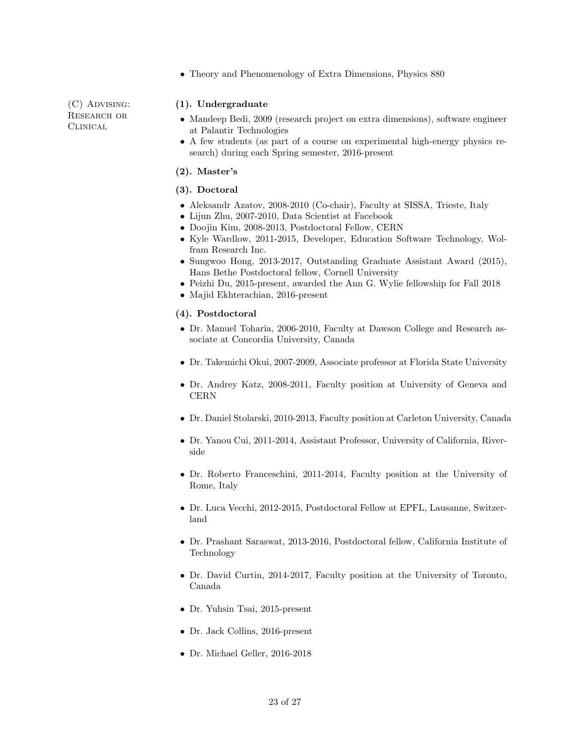• Theory and Phenomenology of Extra Dimensions, Physics 880

(C) Advising: RESEARCH OR Clinical

# (1). Undergraduate

- Mandeep Bedi, 2009 (research project on extra dimensions), software engineer at Palantir Technologies
- A few students (as part of a course on experimental high-energy physics research) during each Spring semester, 2016-present

### (2). Master's

# (3). Doctoral

- Aleksandr Azatov, 2008-2010 (Co-chair), Faculty at SISSA, Trieste, Italy
- Lijun Zhu, 2007-2010, Data Scientist at Facebook
- Doojin Kim, 2008-2013, Postdoctoral Fellow, CERN
- Kyle Wardlow, 2011-2015, Developer, Education Software Technology, Wolfram Research Inc.
- Sungwoo Hong, 2013-2017, Outstanding Graduate Assistant Award (2015), Hans Bethe Postdoctoral fellow, Cornell University
- Peizhi Du, 2015-present, awarded the Ann G. Wylie fellowship for Fall 2018
- Majid Ekhterachian, 2016-present

# (4). Postdoctoral

- Dr. Manuel Toharia, 2006-2010, Faculty at Dawson College and Research associate at Concordia University, Canada
- Dr. Takemichi Okui, 2007-2009, Associate professor at Florida State University
- Dr. Andrey Katz, 2008-2011, Faculty position at University of Geneva and **CERN**
- Dr. Daniel Stolarski, 2010-2013, Faculty position at Carleton University, Canada
- Dr. Yanou Cui, 2011-2014, Assistant Professor, University of California, Riverside
- Dr. Roberto Franceschini, 2011-2014, Faculty position at the University of Rome, Italy
- Dr. Luca Vecchi, 2012-2015, Postdoctoral Fellow at EPFL, Lausanne, Switzerland
- Dr. Prashant Saraswat, 2013-2016, Postdoctoral fellow, California Institute of Technology
- Dr. David Curtin, 2014-2017, Faculty position at the University of Toronto, Canada
- Dr. Yuhsin Tsai, 2015-present
- Dr. Jack Collins, 2016-present
- Dr. Michael Geller, 2016-2018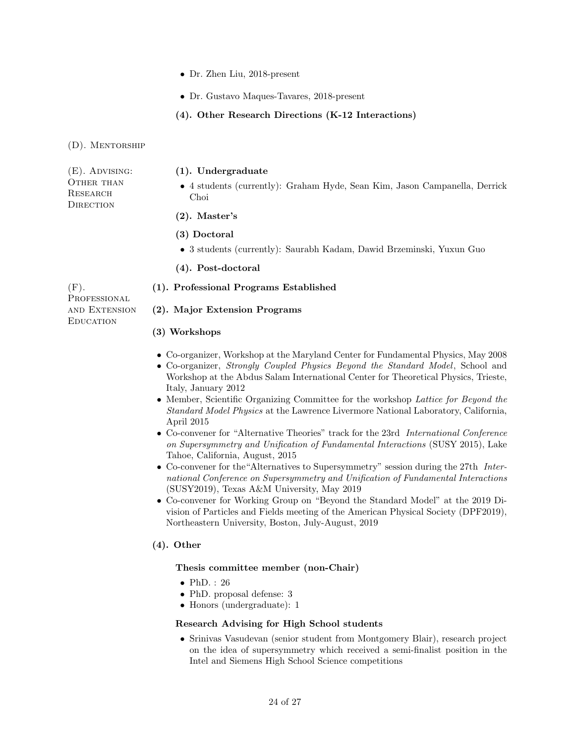- Dr. Zhen Liu, 2018-present
- Dr. Gustavo Maques-Tavares, 2018-present
- (4). Other Research Directions (K-12 Interactions)

(D). Mentorship

| $(E)$ . Advising:                   | $(1)$ . Undergraduate                                                              |
|-------------------------------------|------------------------------------------------------------------------------------|
| OTHER THAN<br>RESEARCH<br>DIRECTION | • 4 students (currently): Graham Hyde, Sean Kim, Jason Campanella, Derrick<br>Choi |
|                                     | $(2)$ . Master's                                                                   |

- (3) Doctoral
- 3 students (currently): Saurabh Kadam, Dawid Brzeminski, Yuxun Guo
- (4). Post-doctoral

PROFESSIONAL and Extension **EDUCATION** 

# (F). (1). Professional Programs Established

# (2). Major Extension Programs

# (3) Workshops

- Co-organizer, Workshop at the Maryland Center for Fundamental Physics, May 2008
- Co-organizer, Strongly Coupled Physics Beyond the Standard Model, School and Workshop at the Abdus Salam International Center for Theoretical Physics, Trieste, Italy, January 2012
- Member, Scientific Organizing Committee for the workshop Lattice for Beyond the Standard Model Physics at the Lawrence Livermore National Laboratory, California, April 2015
- Co-convener for "Alternative Theories" track for the 23rd International Conference on Supersymmetry and Unification of Fundamental Interactions (SUSY 2015), Lake Tahoe, California, August, 2015
- Co-convener for the"Alternatives to Supersymmetry" session during the 27th International Conference on Supersymmetry and Unification of Fundamental Interactions (SUSY2019), Texas A&M University, May 2019
- Co-convener for Working Group on "Beyond the Standard Model" at the 2019 Division of Particles and Fields meeting of the American Physical Society (DPF2019), Northeastern University, Boston, July-August, 2019

# (4). Other

# Thesis committee member (non-Chair)

- $\bullet$  PhD.: 26
- PhD. proposal defense: 3
- Honors (undergraduate): 1

# Research Advising for High School students

• Srinivas Vasudevan (senior student from Montgomery Blair), research project on the idea of supersymmetry which received a semi-finalist position in the Intel and Siemens High School Science competitions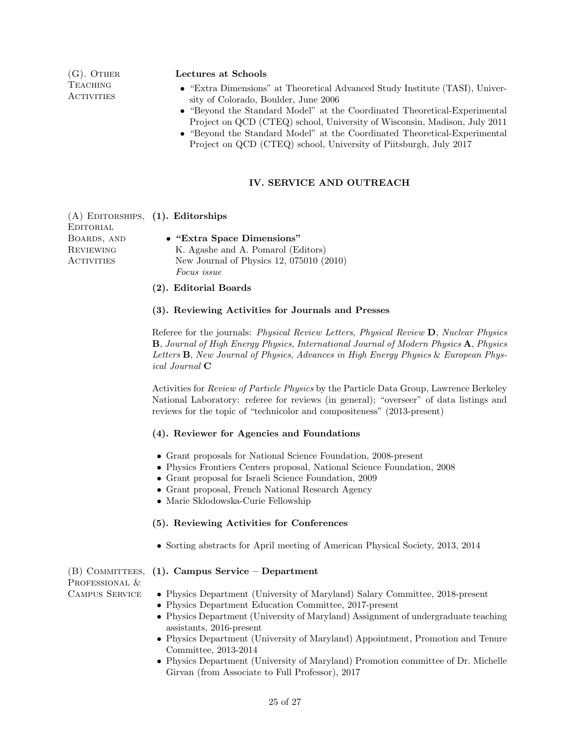**TEACHING ACTIVITIES** 

#### (G). OTHER Lectures at Schools

- "Extra Dimensions" at Theoretical Advanced Study Institute (TASI), University of Colorado, Boulder, June 2006
- "Beyond the Standard Model" at the Coordinated Theoretical-Experimental Project on QCD (CTEQ) school, University of Wisconsin, Madison, July 2011
- "Beyond the Standard Model" at the Coordinated Theoretical-Experimental Project on QCD (CTEQ) school, University of Piitsburgh, July 2017

# IV. SERVICE AND OUTREACH

(A) Editorships, (1). Editorships **EDITORIAL** Boards, and **REVIEWING ACTIVITIES** • "Extra Space Dimensions" K. Agashe and A. Pomarol (Editors) New Journal of Physics 12, 075010 (2010) Focus issue

#### (2). Editorial Boards

#### (3). Reviewing Activities for Journals and Presses

Referee for the journals: Physical Review Letters, Physical Review D, Nuclear Physics B, Journal of High Energy Physics, International Journal of Modern Physics A, Physics Letters B, New Journal of Physics, Advances in High Energy Physics & European Physical Journal C

Activities for Review of Particle Physics by the Particle Data Group, Lawrence Berkeley National Laboratory: referee for reviews (in general); "overseer" of data listings and reviews for the topic of "technicolor and compositeness" (2013-present)

#### (4). Reviewer for Agencies and Foundations

- Grant proposals for National Science Foundation, 2008-present
- Physics Frontiers Centers proposal, National Science Foundation, 2008
- Grant proposal for Israeli Science Foundation, 2009
- Grant proposal, French National Research Agency
- Marie Sklodowska-Curie Fellowship

### (5). Reviewing Activities for Conferences

• Sorting abstracts for April meeting of American Physical Society, 2013, 2014

PROFESSIONAL &

# (B) COMMITTEES, (1). Campus Service – Department

- Campus Service Physics Department (University of Maryland) Salary Committee, 2018-present
	- Physics Department Education Committee, 2017-present
	- Physics Department (University of Maryland) Assignment of undergraduate teaching assistants, 2016-present
	- Physics Department (University of Maryland) Appointment, Promotion and Tenure Committee, 2013-2014
	- Physics Department (University of Maryland) Promotion committee of Dr. Michelle Girvan (from Associate to Full Professor), 2017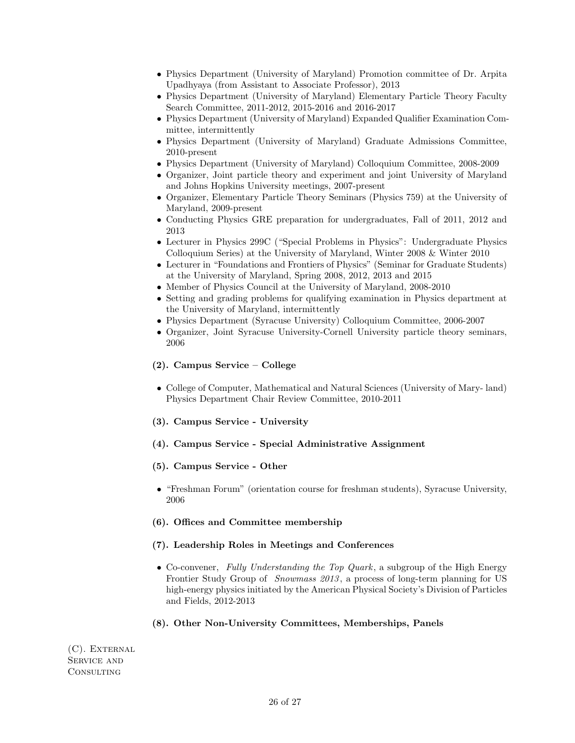- Physics Department (University of Maryland) Promotion committee of Dr. Arpita Upadhyaya (from Assistant to Associate Professor), 2013
- Physics Department (University of Maryland) Elementary Particle Theory Faculty Search Committee, 2011-2012, 2015-2016 and 2016-2017
- Physics Department (University of Maryland) Expanded Qualifier Examination Committee, intermittently
- Physics Department (University of Maryland) Graduate Admissions Committee, 2010-present
- Physics Department (University of Maryland) Colloquium Committee, 2008-2009
- Organizer, Joint particle theory and experiment and joint University of Maryland and Johns Hopkins University meetings, 2007-present
- Organizer, Elementary Particle Theory Seminars (Physics 759) at the University of Maryland, 2009-present
- Conducting Physics GRE preparation for undergraduates, Fall of 2011, 2012 and 2013
- Lecturer in Physics 299C ("Special Problems in Physics": Undergraduate Physics Colloquium Series) at the University of Maryland, Winter 2008 & Winter 2010
- Lecturer in "Foundations and Frontiers of Physics" (Seminar for Graduate Students) at the University of Maryland, Spring 2008, 2012, 2013 and 2015
- Member of Physics Council at the University of Maryland, 2008-2010
- Setting and grading problems for qualifying examination in Physics department at the University of Maryland, intermittently
- Physics Department (Syracuse University) Colloquium Committee, 2006-2007
- Organizer, Joint Syracuse University-Cornell University particle theory seminars, 2006

#### (2). Campus Service – College

- College of Computer, Mathematical and Natural Sciences (University of Mary- land) Physics Department Chair Review Committee, 2010-2011
- (3). Campus Service University
- (4). Campus Service Special Administrative Assignment
- (5). Campus Service Other
- "Freshman Forum" (orientation course for freshman students), Syracuse University, 2006

### (6). Offices and Committee membership

### (7). Leadership Roles in Meetings and Conferences

• Co-convener, Fully Understanding the Top Quark, a subgroup of the High Energy Frontier Study Group of Snowmass 2013 , a process of long-term planning for US high-energy physics initiated by the American Physical Society's Division of Particles and Fields, 2012-2013

#### (8). Other Non-University Committees, Memberships, Panels

(C). External Service and **CONSULTING**